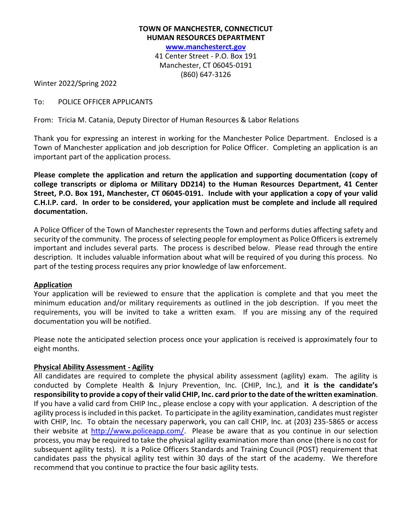## **TOWN OF MANCHESTER, CONNECTICUT HUMAN RESOURCES DEPARTMENT [www.manchesterct.gov](http://www.ci.manchester.ct.us/)** 41 Center Street - P.O. Box 191 Manchester, CT 06045-0191 (860) 647-3126

Winter 2022/Spring 2022

## To: POLICE OFFICER APPLICANTS

From: Tricia M. Catania, Deputy Director of Human Resources & Labor Relations

Thank you for expressing an interest in working for the Manchester Police Department. Enclosed is a Town of Manchester application and job description for Police Officer. Completing an application is an important part of the application process.

**Please complete the application and return the application and supporting documentation (copy of college transcripts or diploma or Military DD214) to the Human Resources Department, 41 Center Street, P.O. Box 191, Manchester, CT 06045-0191. Include with your application a copy of your valid C.H.I.P. card. In order to be considered, your application must be complete and include all required documentation.**

A Police Officer of the Town of Manchester represents the Town and performs duties affecting safety and security of the community. The process of selecting people for employment as Police Officers is extremely important and includes several parts. The process is described below. Please read through the entire description. It includes valuable information about what will be required of you during this process. No part of the testing process requires any prior knowledge of law enforcement.

#### **Application**

Your application will be reviewed to ensure that the application is complete and that you meet the minimum education and/or military requirements as outlined in the job description. If you meet the requirements, you will be invited to take a written exam. If you are missing any of the required documentation you will be notified.

Please note the anticipated selection process once your application is received is approximately four to eight months.

## **Physical Ability Assessment - Agility**

All candidates are required to complete the physical ability assessment (agility) exam. The agility is conducted by Complete Health & Injury Prevention, Inc. (CHIP, Inc.), and **it is the candidate's responsibility to provide a copy of their valid CHIP, Inc. card prior to the date of the written examination**. If you have a valid card from CHIP Inc., please enclose a copy with your application. A description of the agility process is included in this packet. To participate in the agility examination, candidates must register with CHIP, Inc. To obtain the necessary paperwork, you can call CHIP, Inc. at (203) 235-5865 or access their website at [http://www.policeapp.com/.](http://www.policeapp.com/) Please be aware that as you continue in our selection process, you may be required to take the physical agility examination more than once (there is no cost for subsequent agility tests). It is a Police Officers Standards and Training Council (POST) requirement that candidates pass the physical agility test within 30 days of the start of the academy. We therefore recommend that you continue to practice the four basic agility tests.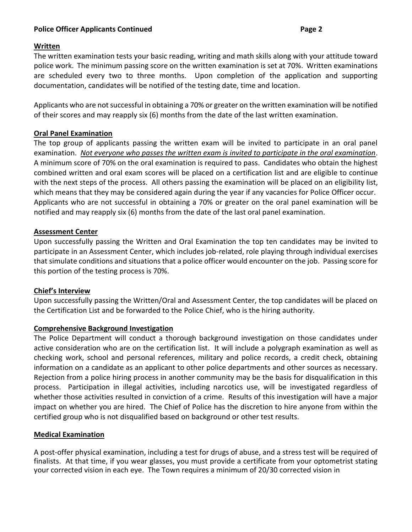## **Police Officer Applicants Continued Page 2**

## **Written**

The written examination tests your basic reading, writing and math skills along with your attitude toward police work. The minimum passing score on the written examination is set at 70%. Written examinations are scheduled every two to three months. Upon completion of the application and supporting documentation, candidates will be notified of the testing date, time and location.

Applicants who are not successful in obtaining a 70% or greater on the written examination will be notified of their scores and may reapply six (6) months from the date of the last written examination.

## **Oral Panel Examination**

The top group of applicants passing the written exam will be invited to participate in an oral panel examination. *Not everyone who passes the written exam is invited to participate in the oral examination*. A minimum score of 70% on the oral examination is required to pass. Candidates who obtain the highest combined written and oral exam scores will be placed on a certification list and are eligible to continue with the next steps of the process. All others passing the examination will be placed on an eligibility list, which means that they may be considered again during the year if any vacancies for Police Officer occur. Applicants who are not successful in obtaining a 70% or greater on the oral panel examination will be notified and may reapply six (6) months from the date of the last oral panel examination.

#### **Assessment Center**

Upon successfully passing the Written and Oral Examination the top ten candidates may be invited to participate in an Assessment Center, which includes job-related, role playing through individual exercises that simulate conditions and situations that a police officer would encounter on the job. Passing score for this portion of the testing process is 70%.

## **Chief's Interview**

Upon successfully passing the Written/Oral and Assessment Center, the top candidates will be placed on the Certification List and be forwarded to the Police Chief, who is the hiring authority.

## **Comprehensive Background Investigation**

The Police Department will conduct a thorough background investigation on those candidates under active consideration who are on the certification list. It will include a polygraph examination as well as checking work, school and personal references, military and police records, a credit check, obtaining information on a candidate as an applicant to other police departments and other sources as necessary. Rejection from a police hiring process in another community may be the basis for disqualification in this process. Participation in illegal activities, including narcotics use, will be investigated regardless of whether those activities resulted in conviction of a crime. Results of this investigation will have a major impact on whether you are hired. The Chief of Police has the discretion to hire anyone from within the certified group who is not disqualified based on background or other test results.

## **Medical Examination**

A post-offer physical examination, including a test for drugs of abuse, and a stress test will be required of finalists. At that time, if you wear glasses, you must provide a certificate from your optometrist stating your corrected vision in each eye. The Town requires a minimum of 20/30 corrected vision in